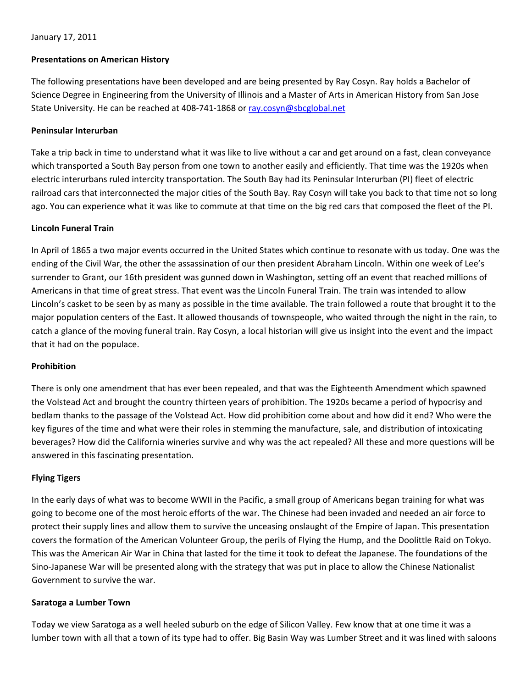# January 17, 2011

# **Presentations on American History**

The following presentations have been developed and are being presented by Ray Cosyn. Ray holds a Bachelor of Science Degree in Engineering from the University of Illinois and a Master of Arts in American History from San Jose State University. He can be reached at 408-741-1868 or [ray.cosyn@sbcglobal.net](mailto:ray.cosyn@sbcglobal.net)

### **Peninsular Interurban**

Take a trip back in time to understand what it was like to live without a car and get around on a fast, clean conveyance which transported a South Bay person from one town to another easily and efficiently. That time was the 1920s when electric interurbans ruled intercity transportation. The South Bay had its Peninsular Interurban (PI) fleet of electric railroad cars that interconnected the major cities of the South Bay. Ray Cosyn will take you back to that time not so long ago. You can experience what it was like to commute at that time on the big red cars that composed the fleet of the PI.

#### **Lincoln Funeral Train**

In April of 1865 a two major events occurred in the United States which continue to resonate with us today. One was the ending of the Civil War, the other the assassination of our then president Abraham Lincoln. Within one week of Lee's surrender to Grant, our 16th president was gunned down in Washington, setting off an event that reached millions of Americans in that time of great stress. That event was the Lincoln Funeral Train. The train was intended to allow Lincoln's casket to be seen by as many as possible in the time available. The train followed a route that brought it to the major population centers of the East. It allowed thousands of townspeople, who waited through the night in the rain, to catch a glance of the moving funeral train. Ray Cosyn, a local historian will give us insight into the event and the impact that it had on the populace.

#### **Prohibition**

There is only one amendment that has ever been repealed, and that was the Eighteenth Amendment which spawned the Volstead Act and brought the country thirteen years of prohibition. The 1920s became a period of hypocrisy and bedlam thanks to the passage of the Volstead Act. How did prohibition come about and how did it end? Who were the key figures of the time and what were their roles in stemming the manufacture, sale, and distribution of intoxicating beverages? How did the California wineries survive and why was the act repealed? All these and more questions will be answered in this fascinating presentation.

# **Flying Tigers**

In the early days of what was to become WWII in the Pacific, a small group of Americans began training for what was going to become one of the most heroic efforts of the war. The Chinese had been invaded and needed an air force to protect their supply lines and allow them to survive the unceasing onslaught of the Empire of Japan. This presentation covers the formation of the American Volunteer Group, the perils of Flying the Hump, and the Doolittle Raid on Tokyo. This was the American Air War in China that lasted for the time it took to defeat the Japanese. The foundations of the Sino‐Japanese War will be presented along with the strategy that was put in place to allow the Chinese Nationalist Government to survive the war.

#### **Saratoga a Lumber Town**

Today we view Saratoga as a well heeled suburb on the edge of Silicon Valley. Few know that at one time it was a lumber town with all that a town of its type had to offer. Big Basin Way was Lumber Street and it was lined with saloons